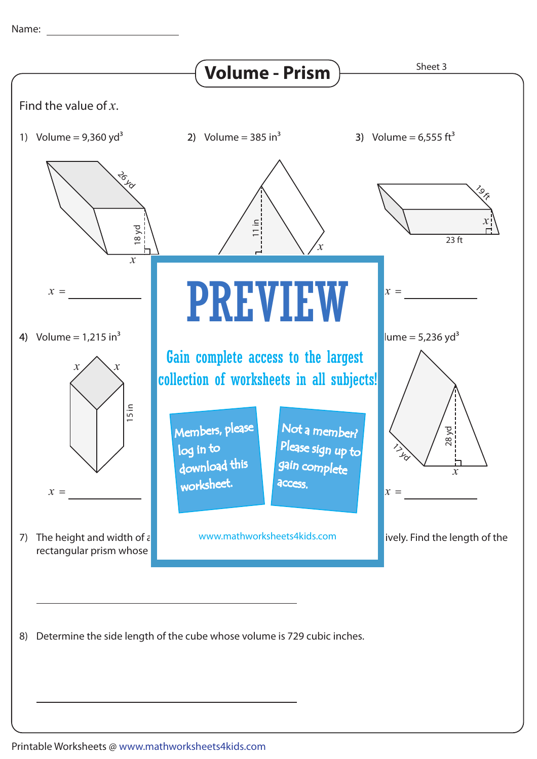